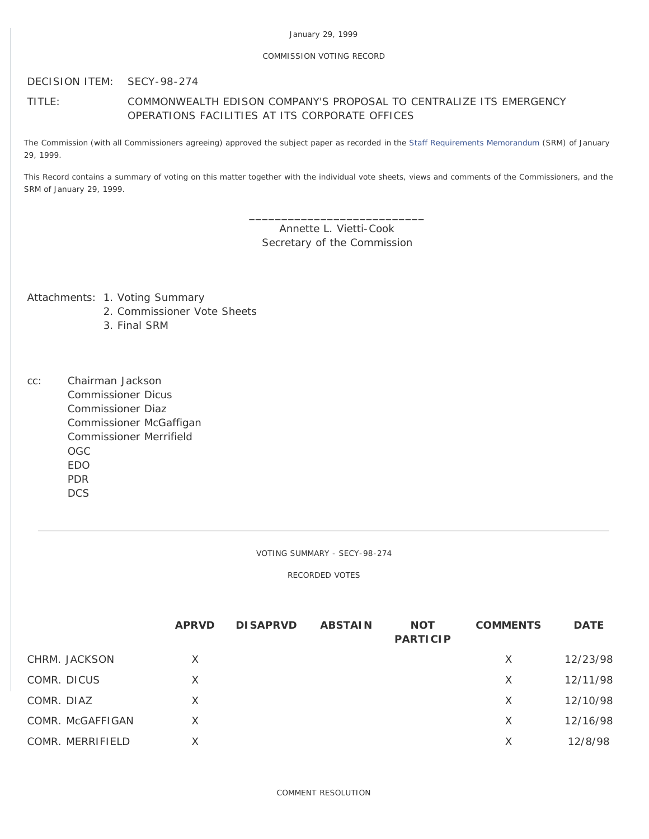## COMMISSION VOTING RECORD

DECISION ITEM: SECY-98-274

# TITLE: COMMONWEALTH EDISON COMPANY'S PROPOSAL TO CENTRALIZE ITS EMERGENCY OPERATIONS FACILITIES AT ITS CORPORATE OFFICES

The Commission (with all Commissioners agreeing) approved the subject paper as recorded in the [Staff Requirements Memorandum](http://www.nrc.gov/reading-rm/doc-collections/commission/srm/1998/1998-274srm.html) (SRM) of January 29, 1999.

This Record contains a summary of voting on this matter together with the individual vote sheets, views and comments of the Commissioners, and the SRM of January 29, 1999.

> \_\_\_\_\_\_\_\_\_\_\_\_\_\_\_\_\_\_\_\_\_\_\_\_\_\_\_ Annette L. Vietti-Cook Secretary of the Commission

Attachments: 1. Voting Summary

- 2. Commissioner Vote Sheets
- 3. Final SRM

cc: Chairman Jackson Commissioner Dicus Commissioner Diaz Commissioner McGaffigan Commissioner Merrifield OGC EDO PDR **DCS** 

VOTING SUMMARY - SECY-98-274

RECORDED VOTES

|                  | <b>APRVD</b> | <b>DISAPRVD</b> | <b>ABSTAIN</b> | <b>NOT</b><br><b>PARTICIP</b> | <b>COMMENTS</b> | <b>DATE</b> |
|------------------|--------------|-----------------|----------------|-------------------------------|-----------------|-------------|
| CHRM. JACKSON    | X            |                 |                |                               | X               | 12/23/98    |
| COMR. DICUS      | X            |                 |                |                               | X               | 12/11/98    |
| COMR. DIAZ       | X            |                 |                |                               | X               | 12/10/98    |
| COMR. McGAFFIGAN | X            |                 |                |                               | X               | 12/16/98    |
| COMR. MERRIFIELD | X            |                 |                |                               | X               | 12/8/98     |